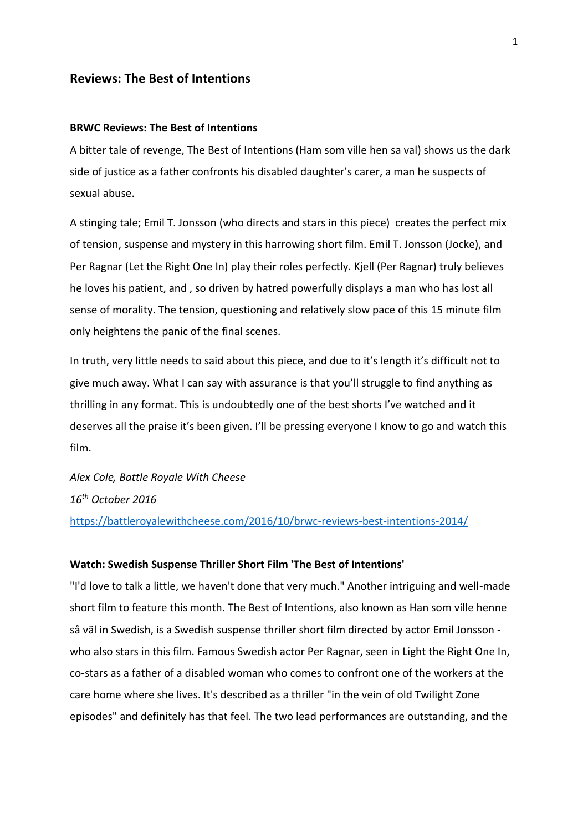## **Reviews: The Best of Intentions**

### **BRWC Reviews: The Best of Intentions**

A bitter tale of revenge, The Best of Intentions (Ham som ville hen sa val) shows us the dark side of justice as a father confronts his disabled daughter's carer, a man he suspects of sexual abuse.

A stinging tale; Emil T. Jonsson (who directs and stars in this piece) creates the perfect mix of tension, suspense and mystery in this harrowing short film. Emil T. Jonsson (Jocke), and Per Ragnar (Let the Right One In) play their roles perfectly. Kjell (Per Ragnar) truly believes he loves his patient, and , so driven by hatred powerfully displays a man who has lost all sense of morality. The tension, questioning and relatively slow pace of this 15 minute film only heightens the panic of the final scenes.

In truth, very little needs to said about this piece, and due to it's length it's difficult not to give much away. What I can say with assurance is that you'll struggle to find anything as thrilling in any format. This is undoubtedly one of the best shorts I've watched and it deserves all the praise it's been given. I'll be pressing everyone I know to go and watch this film.

*Alex Cole, Battle Royale With Cheese 16th October 2016* <https://battleroyalewithcheese.com/2016/10/brwc-reviews-best-intentions-2014/>

#### **Watch: Swedish Suspense Thriller Short Film 'The Best of Intentions'**

"I'd love to talk a little, we haven't done that very much." Another intriguing and well-made short film to feature this month. The Best of Intentions, also known as Han som ville henne så väl in Swedish, is a Swedish suspense thriller short film directed by actor Emil Jonsson who also stars in this film. Famous Swedish actor Per Ragnar, seen in Light the Right One In, co-stars as a father of a disabled woman who comes to confront one of the workers at the care home where she lives. It's described as a thriller "in the vein of old Twilight Zone episodes" and definitely has that feel. The two lead performances are outstanding, and the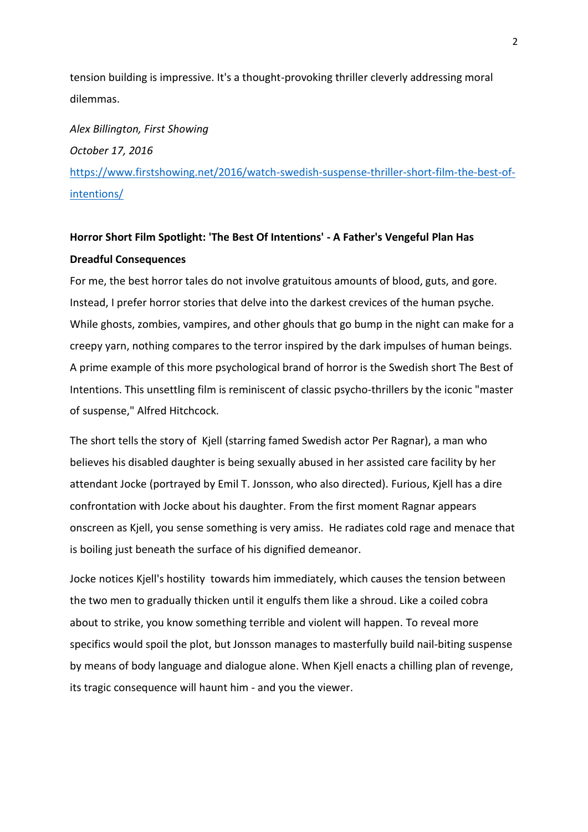tension building is impressive. It's a thought-provoking thriller cleverly addressing moral dilemmas.

*Alex Billington, First Showing October 17, 2016* [https://www.firstshowing.net/2016/watch-swedish-suspense-thriller-short-film-the-best-of](https://www.firstshowing.net/2016/watch-swedish-suspense-thriller-short-film-the-best-of-intentions/)[intentions/](https://www.firstshowing.net/2016/watch-swedish-suspense-thriller-short-film-the-best-of-intentions/)

# **Horror Short Film Spotlight: 'The Best Of Intentions' - A Father's Vengeful Plan Has Dreadful Consequences**

For me, the best horror tales do not involve gratuitous amounts of blood, guts, and gore. Instead, I prefer horror stories that delve into the darkest crevices of the human psyche. While ghosts, zombies, vampires, and other ghouls that go bump in the night can make for a creepy yarn, nothing compares to the terror inspired by the dark impulses of human beings. A prime example of this more psychological brand of horror is the Swedish short The Best of Intentions. This unsettling film is reminiscent of classic psycho-thrillers by the iconic "master of suspense," Alfred Hitchcock.

The short tells the story of Kjell (starring famed Swedish actor Per Ragnar), a man who believes his disabled daughter is being sexually abused in her assisted care facility by her attendant Jocke (portrayed by Emil T. Jonsson, who also directed). Furious, Kjell has a dire confrontation with Jocke about his daughter. From the first moment Ragnar appears onscreen as Kjell, you sense something is very amiss. He radiates cold rage and menace that is boiling just beneath the surface of his dignified demeanor.

Jocke notices Kjell's hostility towards him immediately, which causes the tension between the two men to gradually thicken until it engulfs them like a shroud. Like a coiled cobra about to strike, you know something terrible and violent will happen. To reveal more specifics would spoil the plot, but Jonsson manages to masterfully build nail-biting suspense by means of body language and dialogue alone. When Kjell enacts a chilling plan of revenge, its tragic consequence will haunt him - and you the viewer.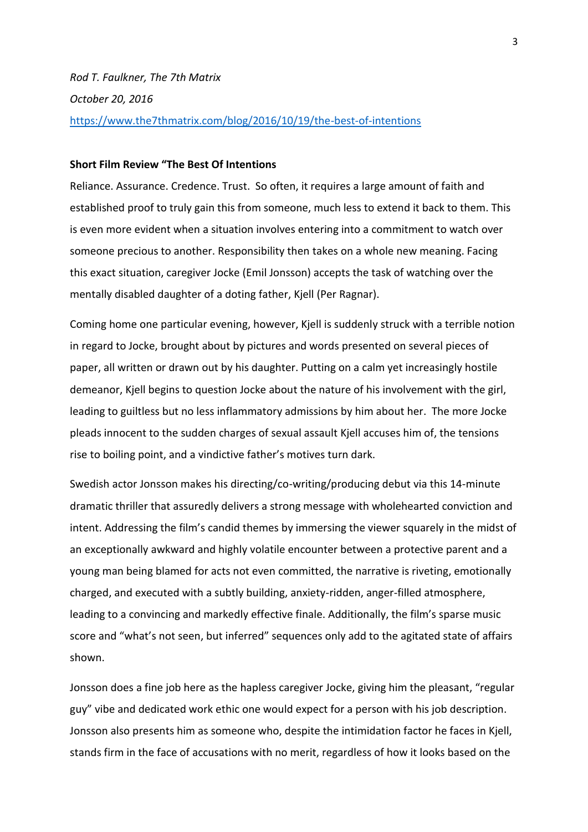### **Short Film Review "The Best Of Intentions**

Reliance. Assurance. Credence. Trust. So often, it requires a large amount of faith and established proof to truly gain this from someone, much less to extend it back to them. This is even more evident when a situation involves entering into a commitment to watch over someone precious to another. Responsibility then takes on a whole new meaning. Facing this exact situation, caregiver Jocke (Emil Jonsson) accepts the task of watching over the mentally disabled daughter of a doting father, Kjell (Per Ragnar).

Coming home one particular evening, however, Kjell is suddenly struck with a terrible notion in regard to Jocke, brought about by pictures and words presented on several pieces of paper, all written or drawn out by his daughter. Putting on a calm yet increasingly hostile demeanor, Kjell begins to question Jocke about the nature of his involvement with the girl, leading to guiltless but no less inflammatory admissions by him about her. The more Jocke pleads innocent to the sudden charges of sexual assault Kjell accuses him of, the tensions rise to boiling point, and a vindictive father's motives turn dark.

Swedish actor Jonsson makes his directing/co-writing/producing debut via this 14-minute dramatic thriller that assuredly delivers a strong message with wholehearted conviction and intent. Addressing the film's candid themes by immersing the viewer squarely in the midst of an exceptionally awkward and highly volatile encounter between a protective parent and a young man being blamed for acts not even committed, the narrative is riveting, emotionally charged, and executed with a subtly building, anxiety-ridden, anger-filled atmosphere, leading to a convincing and markedly effective finale. Additionally, the film's sparse music score and "what's not seen, but inferred" sequences only add to the agitated state of affairs shown.

Jonsson does a fine job here as the hapless caregiver Jocke, giving him the pleasant, "regular guy" vibe and dedicated work ethic one would expect for a person with his job description. Jonsson also presents him as someone who, despite the intimidation factor he faces in Kjell, stands firm in the face of accusations with no merit, regardless of how it looks based on the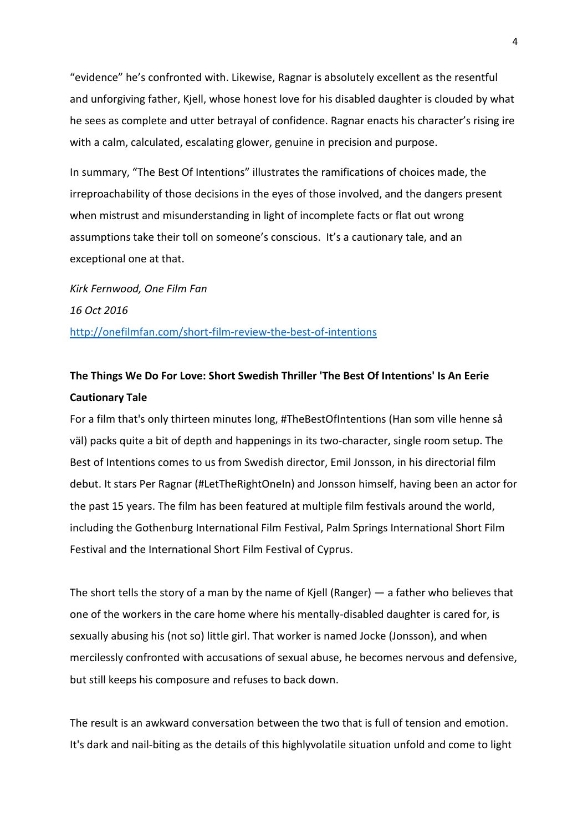"evidence" he's confronted with. Likewise, Ragnar is absolutely excellent as the resentful and unforgiving father, Kjell, whose honest love for his disabled daughter is clouded by what he sees as complete and utter betrayal of confidence. Ragnar enacts his character's rising ire with a calm, calculated, escalating glower, genuine in precision and purpose.

In summary, "The Best Of Intentions" illustrates the ramifications of choices made, the irreproachability of those decisions in the eyes of those involved, and the dangers present when mistrust and misunderstanding in light of incomplete facts or flat out wrong assumptions take their toll on someone's conscious. It's a cautionary tale, and an exceptional one at that.

*Kirk Fernwood, One Film Fan 16 Oct 2016* <http://onefilmfan.com/short-film-review-the-best-of-intentions>

## **The Things We Do For Love: Short Swedish Thriller 'The Best Of Intentions' Is An Eerie Cautionary Tale**

For a film that's only thirteen minutes long, #TheBestOfIntentions (Han som ville henne så väl) packs quite a bit of depth and happenings in its two-character, single room setup. The Best of Intentions comes to us from Swedish director, Emil Jonsson, in his directorial film debut. It stars Per Ragnar (#LetTheRightOneIn) and Jonsson himself, having been an actor for the past 15 years. The film has been featured at multiple film festivals around the world, including the Gothenburg International Film Festival, Palm Springs International Short Film Festival and the International Short Film Festival of Cyprus.

The short tells the story of a man by the name of Kjell (Ranger) — a father who believes that one of the workers in the care home where his mentally-disabled daughter is cared for, is sexually abusing his (not so) little girl. That worker is named Jocke (Jonsson), and when mercilessly confronted with accusations of sexual abuse, he becomes nervous and defensive, but still keeps his composure and refuses to back down.

The result is an awkward conversation between the two that is full of tension and emotion. It's dark and nail-biting as the details of this highlyvolatile situation unfold and come to light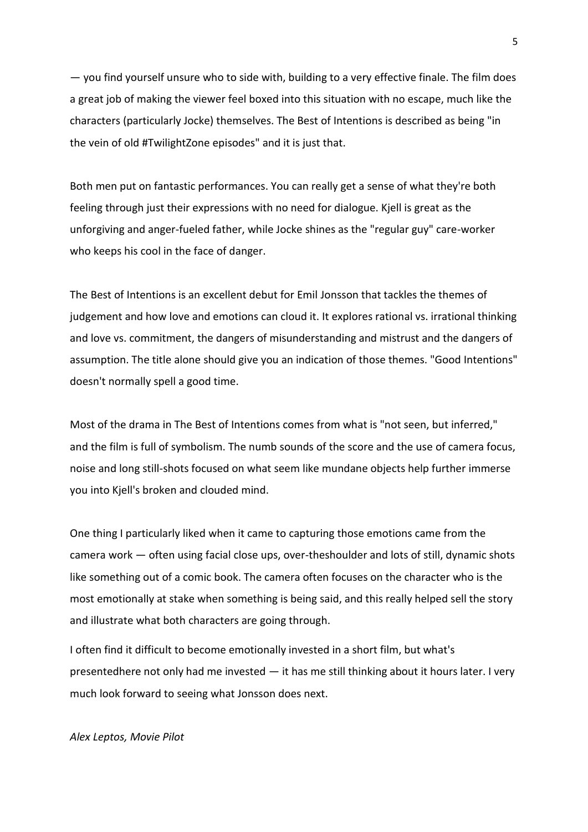— you find yourself unsure who to side with, building to a very effective finale. The film does a great job of making the viewer feel boxed into this situation with no escape, much like the characters (particularly Jocke) themselves. The Best of Intentions is described as being "in the vein of old #TwilightZone episodes" and it is just that.

Both men put on fantastic performances. You can really get a sense of what they're both feeling through just their expressions with no need for dialogue. Kjell is great as the unforgiving and anger-fueled father, while Jocke shines as the "regular guy" care-worker who keeps his cool in the face of danger.

The Best of Intentions is an excellent debut for Emil Jonsson that tackles the themes of judgement and how love and emotions can cloud it. It explores rational vs. irrational thinking and love vs. commitment, the dangers of misunderstanding and mistrust and the dangers of assumption. The title alone should give you an indication of those themes. "Good Intentions" doesn't normally spell a good time.

Most of the drama in The Best of Intentions comes from what is "not seen, but inferred," and the film is full of symbolism. The numb sounds of the score and the use of camera focus, noise and long still-shots focused on what seem like mundane objects help further immerse you into Kjell's broken and clouded mind.

One thing I particularly liked when it came to capturing those emotions came from the camera work — often using facial close ups, over-theshoulder and lots of still, dynamic shots like something out of a comic book. The camera often focuses on the character who is the most emotionally at stake when something is being said, and this really helped sell the story and illustrate what both characters are going through.

I often find it difficult to become emotionally invested in a short film, but what's presentedhere not only had me invested — it has me still thinking about it hours later. I very much look forward to seeing what Jonsson does next.

*Alex Leptos, Movie Pilot*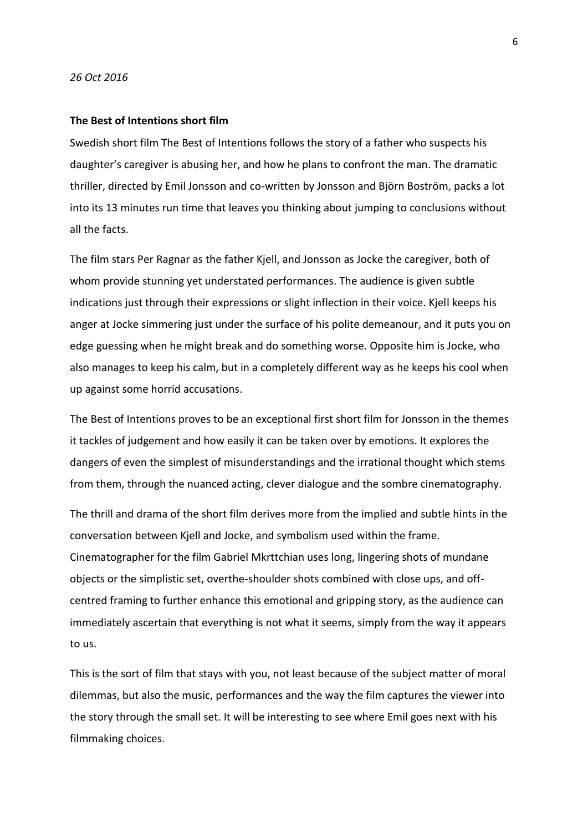#### *26 Oct 2016*

#### **The Best of Intentions short film**

Swedish short film The Best of Intentions follows the story of a father who suspects his daughter's caregiver is abusing her, and how he plans to confront the man. The dramatic thriller, directed by Emil Jonsson and co-written by Jonsson and Björn Boström, packs a lot into its 13 minutes run time that leaves you thinking about jumping to conclusions without all the facts.

The film stars Per Ragnar as the father Kjell, and Jonsson as Jocke the caregiver, both of whom provide stunning yet understated performances. The audience is given subtle indications just through their expressions or slight inflection in their voice. Kjell keeps his anger at Jocke simmering just under the surface of his polite demeanour, and it puts you on edge guessing when he might break and do something worse. Opposite him is Jocke, who also manages to keep his calm, but in a completely different way as he keeps his cool when up against some horrid accusations.

The Best of Intentions proves to be an exceptional first short film for Jonsson in the themes it tackles of judgement and how easily it can be taken over by emotions. It explores the dangers of even the simplest of misunderstandings and the irrational thought which stems from them, through the nuanced acting, clever dialogue and the sombre cinematography.

The thrill and drama of the short film derives more from the implied and subtle hints in the conversation between Kjell and Jocke, and symbolism used within the frame. Cinematographer for the film Gabriel Mkrttchian uses long, lingering shots of mundane objects or the simplistic set, overthe-shoulder shots combined with close ups, and offcentred framing to further enhance this emotional and gripping story, as the audience can immediately ascertain that everything is not what it seems, simply from the way it appears to us.

This is the sort of film that stays with you, not least because of the subject matter of moral dilemmas, but also the music, performances and the way the film captures the viewer into the story through the small set. It will be interesting to see where Emil goes next with his filmmaking choices.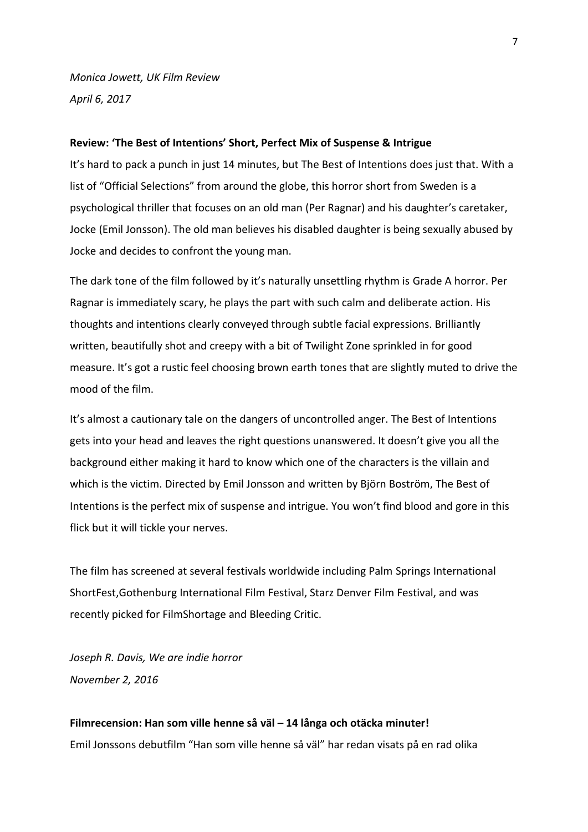*Monica Jowett, UK Film Review April 6, 2017*

## **Review: 'The Best of Intentions' Short, Perfect Mix of Suspense & Intrigue**

It's hard to pack a punch in just 14 minutes, but The Best of Intentions does just that. With a list of "Official Selections" from around the globe, this horror short from Sweden is a psychological thriller that focuses on an old man (Per Ragnar) and his daughter's caretaker, Jocke (Emil Jonsson). The old man believes his disabled daughter is being sexually abused by Jocke and decides to confront the young man.

The dark tone of the film followed by it's naturally unsettling rhythm is Grade A horror. Per Ragnar is immediately scary, he plays the part with such calm and deliberate action. His thoughts and intentions clearly conveyed through subtle facial expressions. Brilliantly written, beautifully shot and creepy with a bit of Twilight Zone sprinkled in for good measure. It's got a rustic feel choosing brown earth tones that are slightly muted to drive the mood of the film.

It's almost a cautionary tale on the dangers of uncontrolled anger. The Best of Intentions gets into your head and leaves the right questions unanswered. It doesn't give you all the background either making it hard to know which one of the characters is the villain and which is the victim. Directed by Emil Jonsson and written by Björn Boström, The Best of Intentions is the perfect mix of suspense and intrigue. You won't find blood and gore in this flick but it will tickle your nerves.

The film has screened at several festivals worldwide including Palm Springs International ShortFest,Gothenburg International Film Festival, Starz Denver Film Festival, and was recently picked for FilmShortage and Bleeding Critic.

*Joseph R. Davis, We are indie horror November 2, 2016*

# **Filmrecension: Han som ville henne så väl – 14 långa och otäcka minuter!** Emil Jonssons debutfilm "Han som ville henne så väl" har redan visats på en rad olika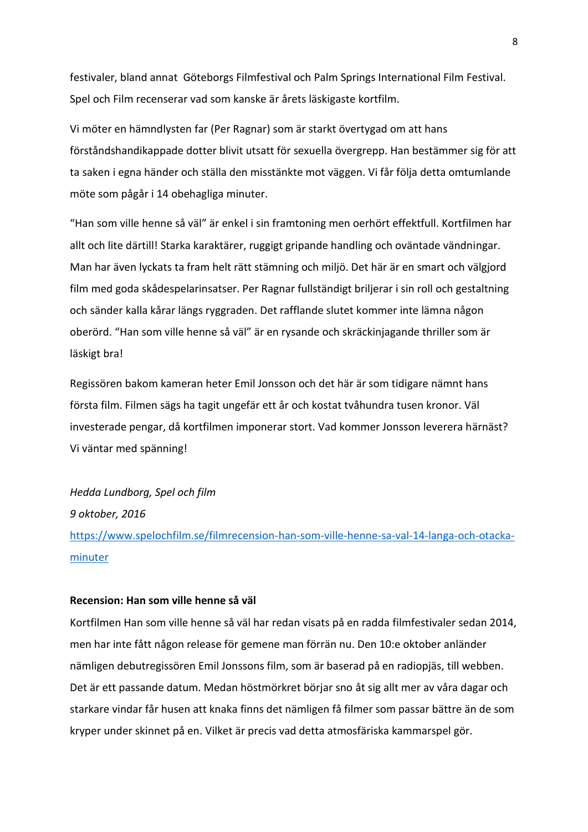festivaler, bland annat Göteborgs Filmfestival och Palm Springs International Film Festival. Spel och Film recenserar vad som kanske är årets läskigaste kortfilm.

Vi möter en hämndlysten far (Per Ragnar) som är starkt övertygad om att hans förståndshandikappade dotter blivit utsatt för sexuella övergrepp. Han bestämmer sig för att ta saken i egna händer och ställa den misstänkte mot väggen. Vi får följa detta omtumlande möte som pågår i 14 obehagliga minuter.

"Han som ville henne så väl" är enkel i sin framtoning men oerhört effektfull. Kortfilmen har allt och lite därtill! Starka karaktärer, ruggigt gripande handling och oväntade vändningar. Man har även lyckats ta fram helt rätt stämning och miljö. Det här är en smart och välgjord film med goda skådespelarinsatser. Per Ragnar fullständigt briljerar i sin roll och gestaltning och sänder kalla kårar längs ryggraden. Det rafflande slutet kommer inte lämna någon oberörd. "Han som ville henne så väl" är en rysande och skräckinjagande thriller som är läskigt bra!

Regissören bakom kameran heter Emil Jonsson och det här är som tidigare nämnt hans första film. Filmen sägs ha tagit ungefär ett år och kostat tvåhundra tusen kronor. Väl investerade pengar, då kortfilmen imponerar stort. Vad kommer Jonsson leverera härnäst? Vi väntar med spänning!

## *Hedda Lundborg, Spel och film*

*9 oktober, 2016*

[https://www.spelochfilm.se/filmrecension-han-som-ville-henne-sa-val-14-langa-och-otacka](https://www.spelochfilm.se/filmrecension-han-som-ville-henne-sa-val-14-langa-och-otacka-minuter)[minuter](https://www.spelochfilm.se/filmrecension-han-som-ville-henne-sa-val-14-langa-och-otacka-minuter)

## **Recension: Han som ville henne så väl**

Kortfilmen Han som ville henne så väl har redan visats på en radda filmfestivaler sedan 2014, men har inte fått någon release för gemene man förrän nu. Den 10:e oktober anländer nämligen debutregissören Emil Jonssons film, som är baserad på en radiopjäs, till webben. Det är ett passande datum. Medan höstmörkret börjar sno åt sig allt mer av våra dagar och starkare vindar får husen att knaka finns det nämligen få filmer som passar bättre än de som kryper under skinnet på en. Vilket är precis vad detta atmosfäriska kammarspel gör.